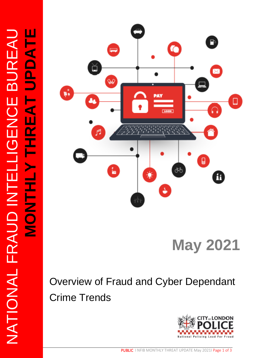

# **May 2021**

## Overview of Fraud and Cyber Dependant Crime Trends

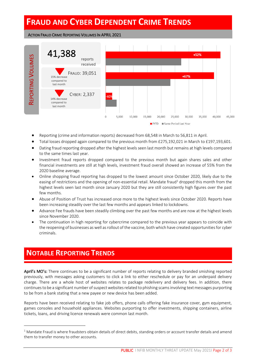## **FRAUD AND CYBER DEPENDENT CRIME TRENDS**

#### ACTION FRAUD CRIME REPORTING VOLUMES IN APRIL 2021



- Reporting (crime and information reports) decreased from 68,548 in March to 56,811 in April.
- Total losses dropped again compared to the previous month from £275,192,021 in March to £197,193,601.
- Dating fraud reporting dropped after the highest levels seen last month but remains at high levels compared to the same times last year.
- Investment fraud reports dropped compared to the previous month but again shares sales and other financial investments are still at high levels, investment fraud overall showed an increase of 55% from the 2020 baseline average.
- Online shopping fraud reporting has dropped to the lowest amount since October 2020, likely due to the easing of restrictions and the opening of non-essential retail. Mandate fraud<sup>1</sup> dropped this month from the highest levels seen last month since January 2020 but they are still consistently high figures over the past few months.
- Abuse of Position of Trust has increased once more to the highest levels since October 2020. Reports have been increasing steadily over the last few months and appears linked to lockdowns.
- Advance Fee frauds have been steadily climbing over the past few months and are now at the highest levels since November 2020.
- The continuation in high reporting for cybercrime compared to the previous year appears to coincide with the reopening of businesses as well as rollout of the vaccine, both which have created opportunities for cyber criminals.

#### **NOTABLE REPORTING TRENDS** l

April's MO's: There continues to be a significant number of reports relating to delivery branded smishing reported previously, with messages asking customers to click a link to either reschedule or pay for an underpaid delivery charge. There are a whole host of websites relates to package redelivery and delivery fees. In addition, there continues to be a significant number of suspect websites related to phishing scams involving text messages purporting to be from a bank stating that a new payee or new device has been added.

Reports have been received relating to fake job offers, phone calls offering fake insurance cover, gym equipment, games consoles and household appliances. Websites purporting to offer investments, shipping containers, airline tickets, loans, and driving licence renewals were common last month.

l

 $1$  Mandate Fraud is where fraudsters obtain details of direct debits, standing orders or account transfer details and amend them to transfer money to other accounts.